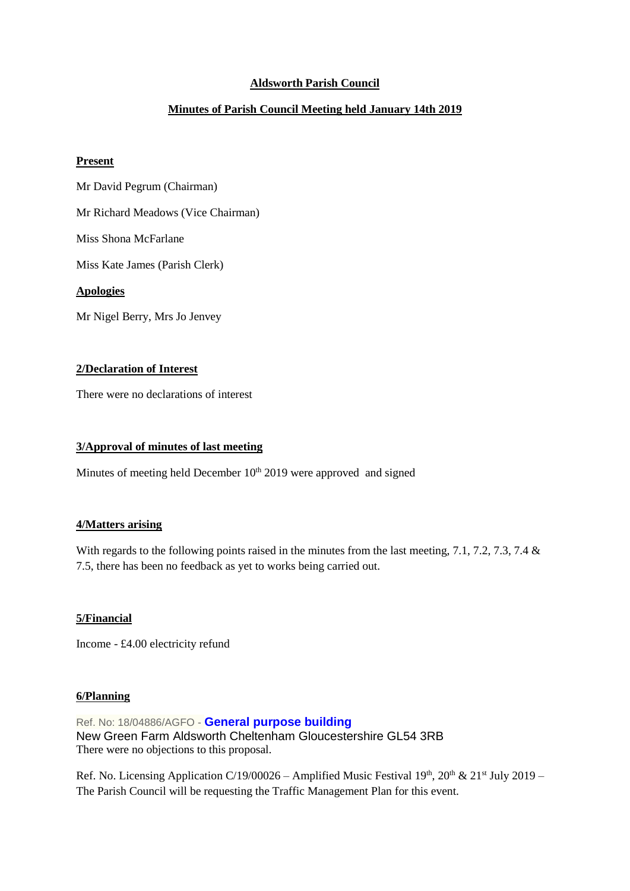## **Aldsworth Parish Council**

# **Minutes of Parish Council Meeting held January 14th 2019**

#### **Present**

Mr David Pegrum (Chairman)

Mr Richard Meadows (Vice Chairman)

Miss Shona McFarlane

Miss Kate James (Parish Clerk)

### **Apologies**

Mr Nigel Berry, Mrs Jo Jenvey

## **2/Declaration of Interest**

There were no declarations of interest

#### **3/Approval of minutes of last meeting**

Minutes of meeting held December  $10<sup>th</sup> 2019$  were approved and signed

## **4/Matters arising**

With regards to the following points raised in the minutes from the last meeting, 7.1, 7.2, 7.3, 7.4 & 7.5, there has been no feedback as yet to works being carried out.

## **5/Financial**

Income - £4.00 electricity refund

#### **6/Planning**

Ref. No: 18/04886/AGFO - **[General purpose building](https://publicaccess.cotswold.gov.uk/online-applications/applicationDetails.do?keyVal=PJVVA6FI02V00&activeTab=summary)** New Green Farm Aldsworth Cheltenham Gloucestershire GL54 3RB There were no objections to this proposal.

Ref. No. Licensing Application C/19/00026 – Amplified Music Festival 19<sup>th</sup>, 20<sup>th</sup> & 21<sup>st</sup> July 2019 – The Parish Council will be requesting the Traffic Management Plan for this event.